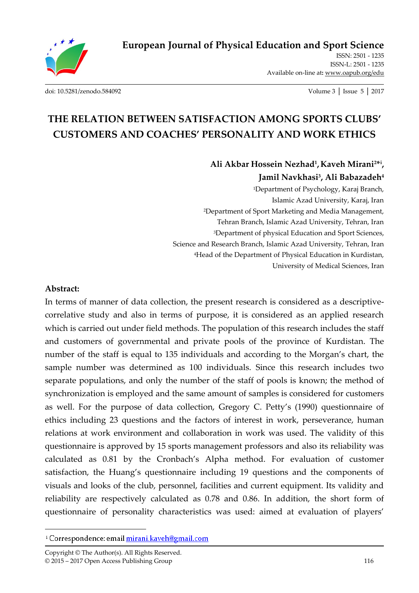

**European Journal of Physical Education and Sport Science**

ISSN: 2501 - 1235 ISSN-L: 2501 - 1235 Available on-line at**:** www.oapub.org/edu

[doi: 10.5281/zenodo.584092](http://dx.doi.org/10.5281/zenodo.584092) Volume 3 │ Issue 5 │ 2017

# **THE RELATION BETWEEN SATISFACTION AMONG SPORTS CLUBS' CUSTOMERS AND COACHES' PERSONALITY AND WORK ETHICS**

**Ali Akbar Hossein Nezhad<sup>1</sup> ,Kaveh Mirani2\* i , Jamil Navkhasi<sup>3</sup> , Ali Babazadeh<sup>4</sup>** <sup>1</sup>Department of Psychology, Karaj Branch, Islamic Azad University, Karaj, Iran

<sup>2</sup>Department of Sport Marketing and Media Management, Tehran Branch, Islamic Azad University, Tehran, Iran <sup>3</sup>Department of physical Education and Sport Sciences, Science and Research Branch, Islamic Azad University, Tehran, Iran <sup>4</sup>Head of the Department of Physical Education in Kurdistan, University of Medical Sciences, Iran

#### **Abstract:**

 $\overline{a}$ 

In terms of manner of data collection, the present research is considered as a descriptivecorrelative study and also in terms of purpose, it is considered as an applied research which is carried out under field methods. The population of this research includes the staff and customers of governmental and private pools of the province of Kurdistan. The number of the staff is equal to 135 individuals and according to the Morgan's chart, the sample number was determined as 100 individuals. Since this research includes two separate populations, and only the number of the staff of pools is known; the method of synchronization is employed and the same amount of samples is considered for customers as well. For the purpose of data collection, Gregory C. Petty's (1990) questionnaire of ethics including 23 questions and the factors of interest in work, perseverance, human relations at work environment and collaboration in work was used. The validity of this questionnaire is approved by 15 sports management professors and also its reliability was calculated as 0.81 by the Cronbach's Alpha method. For evaluation of customer satisfaction, the Huang's questionnaire including 19 questions and the components of visuals and looks of the club, personnel, facilities and current equipment. Its validity and reliability are respectively calculated as 0.78 and 0.86. In addition, the short form of questionnaire of personality characteristics was used: aimed at evaluation of players'

<sup>&</sup>lt;sup>1</sup> Correspondence: email mirani.kaveh@gmail.com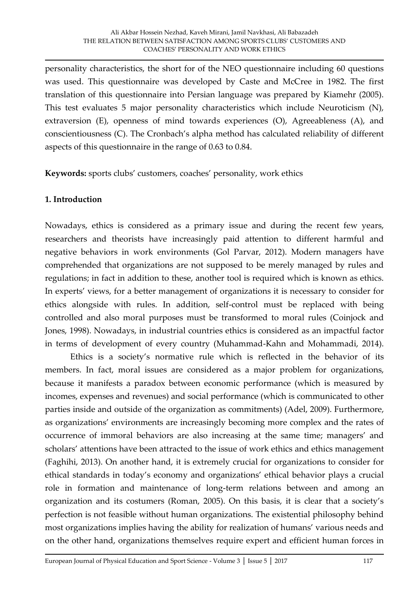personality characteristics, the short for of the NEO questionnaire including 60 questions was used. This questionnaire was developed by Caste and McCree in 1982. The first translation of this questionnaire into Persian language was prepared by Kiamehr (2005). This test evaluates 5 major personality characteristics which include Neuroticism (N), extraversion (E), openness of mind towards experiences (O), Agreeableness (A), and conscientiousness (C). The Cronbach's alpha method has calculated reliability of different aspects of this questionnaire in the range of 0.63 to 0.84.

**Keywords:** sports clubs' customers, coaches' personality, work ethics

# **1. Introduction**

Nowadays, ethics is considered as a primary issue and during the recent few years, researchers and theorists have increasingly paid attention to different harmful and negative behaviors in work environments (Gol Parvar, 2012). Modern managers have comprehended that organizations are not supposed to be merely managed by rules and regulations; in fact in addition to these, another tool is required which is known as ethics. In experts' views, for a better management of organizations it is necessary to consider for ethics alongside with rules. In addition, self-control must be replaced with being controlled and also moral purposes must be transformed to moral rules (Coinjock and Jones, 1998). Nowadays, in industrial countries ethics is considered as an impactful factor in terms of development of every country (Muhammad-Kahn and Mohammadi, 2014).

Ethics is a society's normative rule which is reflected in the behavior of its members. In fact, moral issues are considered as a major problem for organizations, because it manifests a paradox between economic performance (which is measured by incomes, expenses and revenues) and social performance (which is communicated to other parties inside and outside of the organization as commitments) (Adel, 2009). Furthermore, as organizations' environments are increasingly becoming more complex and the rates of occurrence of immoral behaviors are also increasing at the same time; managers' and scholars' attentions have been attracted to the issue of work ethics and ethics management (Faghihi, 2013). On another hand, it is extremely crucial for organizations to consider for ethical standards in today's economy and organizations' ethical behavior plays a crucial role in formation and maintenance of long-term relations between and among an organization and its costumers (Roman, 2005). On this basis, it is clear that a society's perfection is not feasible without human organizations. The existential philosophy behind most organizations implies having the ability for realization of humans' various needs and on the other hand, organizations themselves require expert and efficient human forces in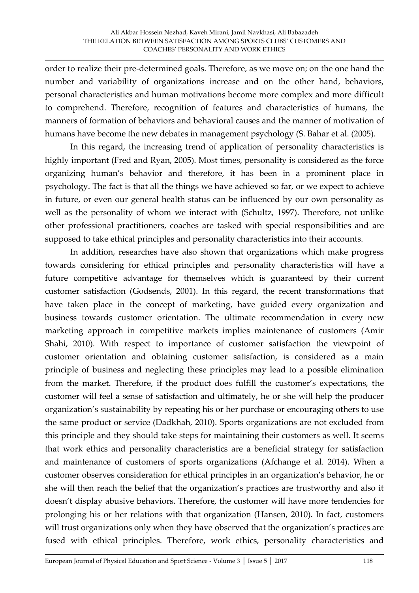order to realize their pre-determined goals. Therefore, as we move on; on the one hand the number and variability of organizations increase and on the other hand, behaviors, personal characteristics and human motivations become more complex and more difficult to comprehend. Therefore, recognition of features and characteristics of humans, the manners of formation of behaviors and behavioral causes and the manner of motivation of humans have become the new debates in management psychology (S. Bahar et al. (2005).

In this regard, the increasing trend of application of personality characteristics is highly important (Fred and Ryan, 2005). Most times, personality is considered as the force organizing human's behavior and therefore, it has been in a prominent place in psychology. The fact is that all the things we have achieved so far, or we expect to achieve in future, or even our general health status can be influenced by our own personality as well as the personality of whom we interact with (Schultz, 1997). Therefore, not unlike other professional practitioners, coaches are tasked with special responsibilities and are supposed to take ethical principles and personality characteristics into their accounts.

In addition, researches have also shown that organizations which make progress towards considering for ethical principles and personality characteristics will have a future competitive advantage for themselves which is guaranteed by their current customer satisfaction (Godsends, 2001). In this regard, the recent transformations that have taken place in the concept of marketing, have guided every organization and business towards customer orientation. The ultimate recommendation in every new marketing approach in competitive markets implies maintenance of customers (Amir Shahi, 2010). With respect to importance of customer satisfaction the viewpoint of customer orientation and obtaining customer satisfaction, is considered as a main principle of business and neglecting these principles may lead to a possible elimination from the market. Therefore, if the product does fulfill the customer's expectations, the customer will feel a sense of satisfaction and ultimately, he or she will help the producer organization's sustainability by repeating his or her purchase or encouraging others to use the same product or service (Dadkhah, 2010). Sports organizations are not excluded from this principle and they should take steps for maintaining their customers as well. It seems that work ethics and personality characteristics are a beneficial strategy for satisfaction and maintenance of customers of sports organizations (Afchange et al. 2014). When a customer observes consideration for ethical principles in an organization's behavior, he or she will then reach the belief that the organization's practices are trustworthy and also it doesn't display abusive behaviors. Therefore, the customer will have more tendencies for prolonging his or her relations with that organization (Hansen, 2010). In fact, customers will trust organizations only when they have observed that the organization's practices are fused with ethical principles. Therefore, work ethics, personality characteristics and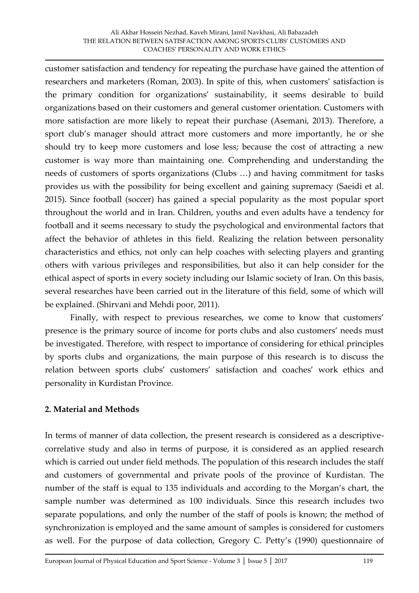customer satisfaction and tendency for repeating the purchase have gained the attention of researchers and marketers (Roman, 2003). In spite of this, when customers' satisfaction is the primary condition for organizations' sustainability, it seems desirable to build organizations based on their customers and general customer orientation. Customers with more satisfaction are more likely to repeat their purchase (Asemani, 2013). Therefore, a sport club's manager should attract more customers and more importantly, he or she should try to keep more customers and lose less; because the cost of attracting a new customer is way more than maintaining one. Comprehending and understanding the needs of customers of sports organizations (Clubs ...) and having commitment for tasks provides us with the possibility for being excellent and gaining supremacy (Saeidi et al. 2015). Since football (soccer) has gained a special popularity as the most popular sport throughout the world and in Iran. Children, youths and even adults have a tendency for football and it seems necessary to study the psychological and environmental factors that affect the behavior of athletes in this field. Realizing the relation between personality characteristics and ethics, not only can help coaches with selecting players and granting others with various privileges and responsibilities, but also it can help consider for the ethical aspect of sports in every society including our Islamic society of Iran. On this basis, several researches have been carried out in the literature of this field, some of which will be explained. (Shirvani and Mehdi poor, 2011).

Finally, with respect to previous researches, we come to know that customers' presence is the primary source of income for ports clubs and also customers' needs must be investigated. Therefore, with respect to importance of considering for ethical principles by sports clubs and organizations, the main purpose of this research is to discuss the relation between sports clubs' customers' satisfaction and coaches' work ethics and personality in Kurdistan Province.

# **2. Material and Methods**

In terms of manner of data collection, the present research is considered as a descriptivecorrelative study and also in terms of purpose, it is considered as an applied research which is carried out under field methods. The population of this research includes the staff and customers of governmental and private pools of the province of Kurdistan. The number of the staff is equal to 135 individuals and according to the Morgan's chart, the sample number was determined as 100 individuals. Since this research includes two separate populations, and only the number of the staff of pools is known; the method of synchronization is employed and the same amount of samples is considered for customers as well. For the purpose of data collection, Gregory C. Petty's (1990) questionnaire of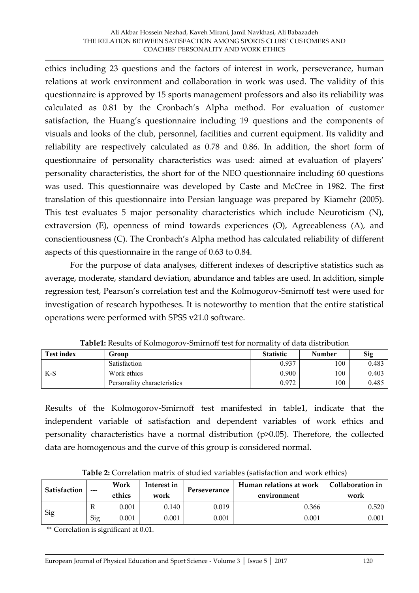ethics including 23 questions and the factors of interest in work, perseverance, human relations at work environment and collaboration in work was used. The validity of this questionnaire is approved by 15 sports management professors and also its reliability was calculated as 0.81 by the Cronbach's Alpha method. For evaluation of customer satisfaction, the Huang's questionnaire including 19 questions and the components of visuals and looks of the club, personnel, facilities and current equipment. Its validity and reliability are respectively calculated as 0.78 and 0.86. In addition, the short form of questionnaire of personality characteristics was used: aimed at evaluation of players' personality characteristics, the short for of the NEO questionnaire including 60 questions was used. This questionnaire was developed by Caste and McCree in 1982. The first translation of this questionnaire into Persian language was prepared by Kiamehr (2005). This test evaluates 5 major personality characteristics which include Neuroticism (N), extraversion (E), openness of mind towards experiences (O), Agreeableness (A), and conscientiousness (C). The Cronbach's Alpha method has calculated reliability of different aspects of this questionnaire in the range of 0.63 to 0.84.

For the purpose of data analyses, different indexes of descriptive statistics such as average, moderate, standard deviation, abundance and tables are used. In addition, simple regression test, Pearson's correlation test and the Kolmogorov-Smirnoff test were used for investigation of research hypotheses. It is noteworthy to mention that the entire statistical operations were performed with SPSS v21.0 software.

| <b>Test index</b> | Group                       | <b>Statistic</b> | <b>Number</b> | <b>Sig</b> |  |
|-------------------|-----------------------------|------------------|---------------|------------|--|
| $K-S$             | Satisfaction                | 0.937            | 100           | 0.483      |  |
|                   | Work ethics                 | 0.900            | 100           | 0.403      |  |
|                   | Personality characteristics | 0.972            | 100           | 0.485      |  |

**Table1:** Results of Kolmogorov-Smirnoff test for normality of data distribution

Results of the Kolmogorov-Smirnoff test manifested in table1, indicate that the independent variable of satisfaction and dependent variables of work ethics and personality characteristics have a normal distribution (p>0.05). Therefore, the collected data are homogenous and the curve of this group is considered normal.

| Satisfaction | $- - -$ | Work<br>ethics | Interest in<br>work | Perseverance | Human relations at work<br>environment | Collaboration in<br>work |  |  |
|--------------|---------|----------------|---------------------|--------------|----------------------------------------|--------------------------|--|--|
| Sig          | R       | 0.001          | 0.140               | 0.019        | 0.366                                  | 0.520                    |  |  |
|              | Sig     | 0.001          | $0.001\,$           | 0.001        | $\rm 0.001$                            | 0.001                    |  |  |

**Table 2:** Correlation matrix of studied variables (satisfaction and work ethics)

\*\* Correlation is significant at 0.01.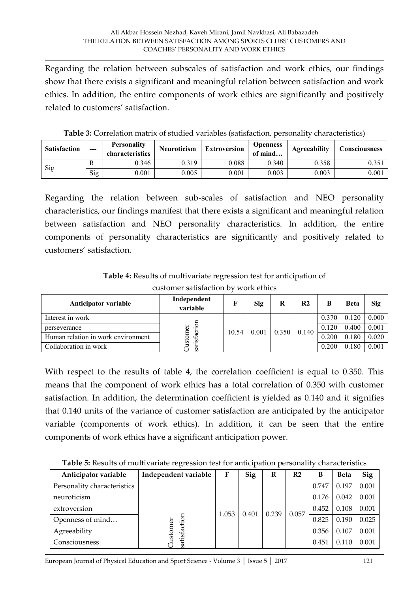Regarding the relation between subscales of satisfaction and work ethics, our findings show that there exists a significant and meaningful relation between satisfaction and work ethics. In addition, the entire components of work ethics are significantly and positively related to customers' satisfaction.

| <b>Satisfaction</b> | --- | <b>Personality</b><br>characteristics | <b>Neuroticism</b> | <b>Extroversion</b> | <b>Openness</b><br>of mind | Agreeability | <b>Consciousness</b> |  |
|---------------------|-----|---------------------------------------|--------------------|---------------------|----------------------------|--------------|----------------------|--|
| Sig                 | R   | 0.346                                 | 0.319              | 0.088               | 0.340                      | 0.358        | 0.35                 |  |
|                     | Sig | 0.001                                 | 0.005              | 0.001               | 0.003                      | 0.003        | 0.001                |  |

**Table 3:** Correlation matrix of studied variables (satisfaction, personality characteristics)

Regarding the relation between sub-scales of satisfaction and NEO personality characteristics, our findings manifest that there exists a significant and meaningful relation between satisfaction and NEO personality characteristics. In addition, the entire components of personality characteristics are significantly and positively related to customers' satisfaction.

**Table 4:** Results of multivariate regression test for anticipation of customer satisfaction by work ethics

| Anticipator variable               | Independent<br>variable | г     | Sig   | R     | R <sub>2</sub> | B     | <b>Beta</b> | <b>Sig</b> |
|------------------------------------|-------------------------|-------|-------|-------|----------------|-------|-------------|------------|
| Interest in work                   |                         |       |       |       |                | 0.370 | 0.120       | 0.000      |
| perseverance                       | ৯                       | 10.54 | 0.001 | 0.350 | 0.140          | 0.120 | 0.400       | 0.001      |
| Human relation in work environment | satisfactio<br>ğ<br>ಕ   |       |       |       |                | 0.200 | 0.180       | 0.020      |
| Collaboration in work              |                         |       |       |       |                | 0.200 | 0.180       | 0.001      |

With respect to the results of table 4, the correlation coefficient is equal to 0.350. This means that the component of work ethics has a total correlation of 0.350 with customer satisfaction. In addition, the determination coefficient is yielded as 0.140 and it signifies that 0.140 units of the variance of customer satisfaction are anticipated by the anticipator variable (components of work ethics). In addition, it can be seen that the entire components of work ethics have a significant anticipation power.

**Table 5:** Results of multivariate regression test for anticipation personality characteristics

| Anticipator variable        | Independent variable    | F     | Sig   | R     | R <sub>2</sub> | B     | <b>Beta</b> | Sig   |
|-----------------------------|-------------------------|-------|-------|-------|----------------|-------|-------------|-------|
| Personality characteristics |                         |       |       |       |                | 0.747 | 0.197       | 0.001 |
| neuroticism                 | satisfaction<br>istomer | 1.053 | 0.401 | 0.239 | 0.057          | 0.176 | 0.042       | 0.001 |
| extroversion                |                         |       |       |       |                | 0.452 | 0.108       | 0.001 |
| Openness of mind            |                         |       |       |       |                | 0.825 | 0.190       | 0.025 |
| Agreeability                |                         |       |       |       |                | 0.356 | 0.107       | 0.001 |
| Consciousness               |                         |       |       |       |                | 0.451 | 0.110       | 0.001 |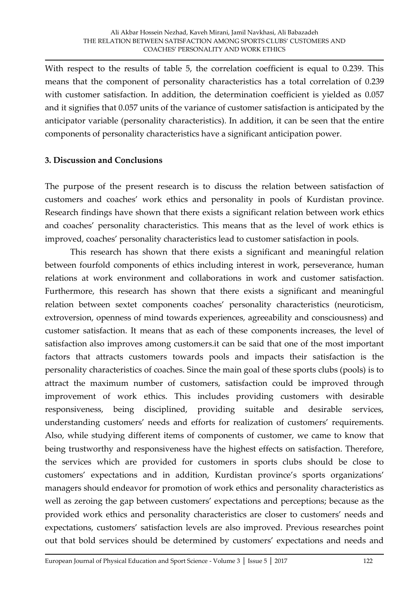With respect to the results of table 5, the correlation coefficient is equal to 0.239. This means that the component of personality characteristics has a total correlation of 0.239 with customer satisfaction. In addition, the determination coefficient is yielded as 0.057 and it signifies that 0.057 units of the variance of customer satisfaction is anticipated by the anticipator variable (personality characteristics). In addition, it can be seen that the entire components of personality characteristics have a significant anticipation power.

## **3. Discussion and Conclusions**

The purpose of the present research is to discuss the relation between satisfaction of customers and coaches' work ethics and personality in pools of Kurdistan province. Research findings have shown that there exists a significant relation between work ethics and coaches' personality characteristics. This means that as the level of work ethics is improved, coaches' personality characteristics lead to customer satisfaction in pools.

This research has shown that there exists a significant and meaningful relation between fourfold components of ethics including interest in work, perseverance, human relations at work environment and collaborations in work and customer satisfaction. Furthermore, this research has shown that there exists a significant and meaningful relation between sextet components coaches' personality characteristics (neuroticism, extroversion, openness of mind towards experiences, agreeability and consciousness) and customer satisfaction. It means that as each of these components increases, the level of satisfaction also improves among customers.it can be said that one of the most important factors that attracts customers towards pools and impacts their satisfaction is the personality characteristics of coaches. Since the main goal of these sports clubs (pools) is to attract the maximum number of customers, satisfaction could be improved through improvement of work ethics. This includes providing customers with desirable responsiveness, being disciplined, providing suitable and desirable services, understanding customers' needs and efforts for realization of customers' requirements. Also, while studying different items of components of customer, we came to know that being trustworthy and responsiveness have the highest effects on satisfaction. Therefore, the services which are provided for customers in sports clubs should be close to customers' expectations and in addition, Kurdistan province's sports organizations' managers should endeavor for promotion of work ethics and personality characteristics as well as zeroing the gap between customers' expectations and perceptions; because as the provided work ethics and personality characteristics are closer to customers' needs and expectations, customers' satisfaction levels are also improved. Previous researches point out that bold services should be determined by customers' expectations and needs and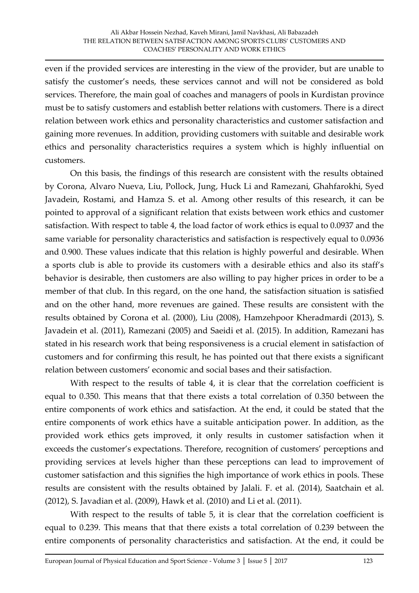even if the provided services are interesting in the view of the provider, but are unable to satisfy the customer's needs, these services cannot and will not be considered as bold services. Therefore, the main goal of coaches and managers of pools in Kurdistan province must be to satisfy customers and establish better relations with customers. There is a direct relation between work ethics and personality characteristics and customer satisfaction and gaining more revenues. In addition, providing customers with suitable and desirable work ethics and personality characteristics requires a system which is highly influential on customers.

On this basis, the findings of this research are consistent with the results obtained by Corona, Alvaro Nueva, Liu, Pollock, Jung, Huck Li and Ramezani, Ghahfarokhi, Syed Javadein, Rostami, and Hamza S. et al. Among other results of this research, it can be pointed to approval of a significant relation that exists between work ethics and customer satisfaction. With respect to table 4, the load factor of work ethics is equal to 0.0937 and the same variable for personality characteristics and satisfaction is respectively equal to 0.0936 and 0.900. These values indicate that this relation is highly powerful and desirable. When a sports club is able to provide its customers with a desirable ethics and also its staff's behavior is desirable, then customers are also willing to pay higher prices in order to be a member of that club. In this regard, on the one hand, the satisfaction situation is satisfied and on the other hand, more revenues are gained. These results are consistent with the results obtained by Corona et al. (2000), Liu (2008), Hamzehpoor Kheradmardi (2013), S. Javadein et al. (2011), Ramezani (2005) and Saeidi et al. (2015). In addition, Ramezani has stated in his research work that being responsiveness is a crucial element in satisfaction of customers and for confirming this result, he has pointed out that there exists a significant relation between customers' economic and social bases and their satisfaction.

With respect to the results of table 4, it is clear that the correlation coefficient is equal to 0.350. This means that that there exists a total correlation of 0.350 between the entire components of work ethics and satisfaction. At the end, it could be stated that the entire components of work ethics have a suitable anticipation power. In addition, as the provided work ethics gets improved, it only results in customer satisfaction when it exceeds the customer's expectations. Therefore, recognition of customers' perceptions and providing services at levels higher than these perceptions can lead to improvement of customer satisfaction and this signifies the high importance of work ethics in pools. These results are consistent with the results obtained by Jalali. F. et al. (2014), Saatchain et al. (2012), S. Javadian et al. (2009), Hawk et al. (2010) and Li et al. (2011).

With respect to the results of table 5, it is clear that the correlation coefficient is equal to 0.239. This means that that there exists a total correlation of 0.239 between the entire components of personality characteristics and satisfaction. At the end, it could be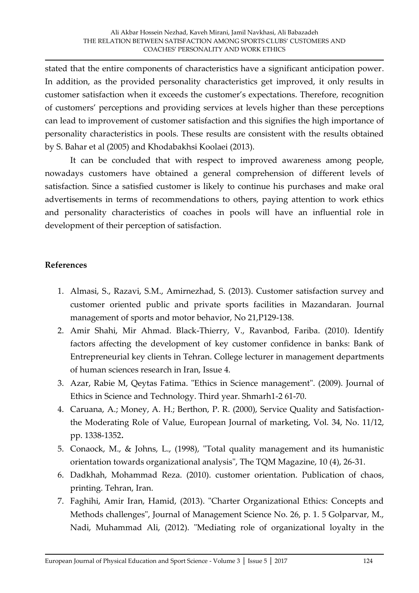stated that the entire components of characteristics have a significant anticipation power. In addition, as the provided personality characteristics get improved, it only results in customer satisfaction when it exceeds the customer's expectations. Therefore, recognition of customers' perceptions and providing services at levels higher than these perceptions can lead to improvement of customer satisfaction and this signifies the high importance of personality characteristics in pools. These results are consistent with the results obtained by S. Bahar et al (2005) and Khodabakhsi Koolaei (2013).

It can be concluded that with respect to improved awareness among people, nowadays customers have obtained a general comprehension of different levels of satisfaction. Since a satisfied customer is likely to continue his purchases and make oral advertisements in terms of recommendations to others, paying attention to work ethics and personality characteristics of coaches in pools will have an influential role in development of their perception of satisfaction.

## **References**

- 1. Almasi, S., Razavi, S.M., Amirnezhad, S. (2013). Customer satisfaction survey and customer oriented public and private sports facilities in Mazandaran. Journal management of sports and motor behavior, No 21,P129-138.
- 2. Amir Shahi, Mir Ahmad. Black-Thierry, V., Ravanbod, Fariba. (2010). Identify factors affecting the development of key customer confidence in banks: Bank of Entrepreneurial key clients in Tehran. College lecturer in management departments of human sciences research in Iran, Issue 4.
- 3. Azar, Rabie M, Qeytas Fatima. "Ethics in Science management". (2009). Journal of Ethics in Science and Technology. Third year. Shmarh1-2 61-70.
- 4. Caruana, A.; Money, A. H.; Berthon, P. R. (2000), Service Quality and Satisfactionthe Moderating Role of Value, European Journal of marketing, Vol. 34, No. 11/12, pp. 1338-1352**.**
- 5. Conaock, M., & Johns, L., (1998), "Total quality management and its humanistic orientation towards organizational analysis", The TQM Magazine, 10 (4), 26-31.
- 6. Dadkhah, Mohammad Reza. (2010). customer orientation. Publication of chaos, printing. Tehran, Iran.
- 7. Faghihi, Amir Iran, Hamid, (2013). "Charter Organizational Ethics: Concepts and Methods challenges", Journal of Management Science No. 26, p. 1. 5 Golparvar, M., Nadi, Muhammad Ali, (2012). "Mediating role of organizational loyalty in the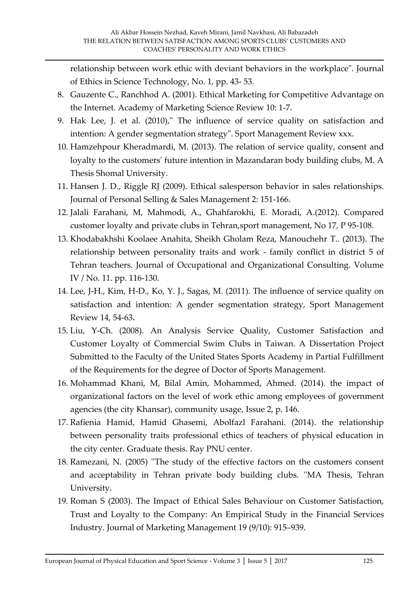relationship between work ethic with deviant behaviors in the workplace". Journal of Ethics in Science Technology, No. 1, pp. 43- 53.

- 8. Gauzente C., Ranchhod A. (2001). Ethical Marketing for Competitive Advantage on the Internet. Academy of Marketing Science Review 10: 1-7.
- 9. Hak Lee, J. et al. (2010)," The influence of service quality on satisfaction and intention: A gender segmentation strategy". Sport Management Review xxx.
- 10. Hamzehpour Kheradmardi, M. (2013). The relation of service quality, consent and loyalty to the customers' future intention in Mazandaran body building clubs, M. A Thesis Shomal University.
- 11. Hansen J. D., Riggle RJ (2009). Ethical salesperson behavior in sales relationships. Journal of Personal Selling & Sales Management 2: 151-166.
- 12. Jalali Farahani, M, Mahmodi, A., Ghahfarokhi, E. Moradi, A.(2012). Compared customer loyalty and private clubs in Tehran,sport management, No 17, P 95-108.
- 13. Khodabakhshi Koolaee Anahita, Sheikh Gholam Reza, Manouchehr T.. (2013). The relationship between personality traits and work - family conflict in district 5 of Tehran teachers. Journal of Occupational and Organizational Consulting. Volume IV / No. 11. pp. 116-130.
- 14. Lee, J-H., Kim, H-D., Ko, Y. J., Sagas, M. (2011). The influence of service quality on satisfaction and intention: A gender segmentation strategy, Sport Management Review 14, 54-63**.**
- 15. Liu, Y-Ch. (2008). An Analysis Service Quality, Customer Satisfaction and Customer Loyalty of Commercial Swim Clubs in Taiwan. A Dissertation Project Submitted to the Faculty of the United States Sports Academy in Partial Fulfillment of the Requirements for the degree of Doctor of Sports Management.
- 16. Mohammad Khani, M, Bilal Amin, Mohammed, Ahmed. (2014). the impact of organizational factors on the level of work ethic among employees of government agencies (the city Khansar), community usage, Issue 2, p. 146.
- 17. Rafienia Hamid, Hamid Ghasemi, Abolfazl Farahani. (2014). the relationship between personality traits professional ethics of teachers of physical education in the city center. Graduate thesis. Ray PNU center.
- 18. Ramezani, N. (2005) ''The study of the effective factors on the customers consent and acceptability in Tehran private body building clubs. ''MA Thesis, Tehran University.
- 19. Roman S (2003). The Impact of Ethical Sales Behaviour on Customer Satisfaction, Trust and Loyalty to the Company: An Empirical Study in the Financial Services Industry. Journal of Marketing Management 19 (9/10): 915–939.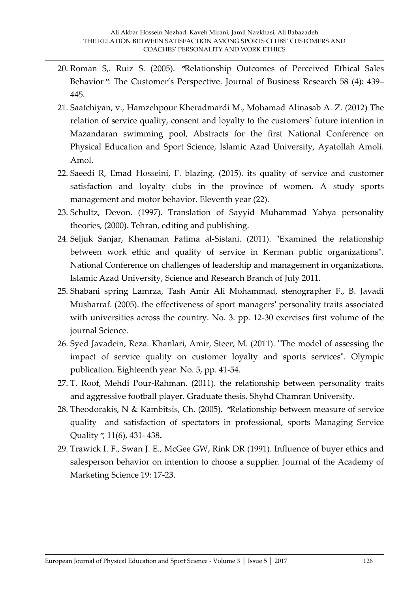- 20. Roman S,. Ruiz S. (2005). **"**Relationship Outcomes of Perceived Ethical Sales Behavior**"**: The Customer's Perspective. Journal of Business Research 58 (4): 439– 445.
- 21. Saatchiyan, v., Hamzehpour Kheradmardi M., Mohamad Alinasab A. Z. (2012) The relation of service quality, consent and loyalty to the customers` future intention in Mazandaran swimming pool, Abstracts for the first National Conference on Physical Education and Sport Science, Islamic Azad University, Ayatollah Amoli. Amol.
- 22. Saeedi R, Emad Hosseini, F. blazing. (2015). its quality of service and customer satisfaction and loyalty clubs in the province of women. A study sports management and motor behavior. Eleventh year (22).
- 23. Schultz, Devon. (1997). Translation of Sayyid Muhammad Yahya personality theories, (2000). Tehran, editing and publishing.
- 24. Seljuk Sanjar, Khenaman Fatima al-Sistani. (2011). "Examined the relationship between work ethic and quality of service in Kerman public organizations". National Conference on challenges of leadership and management in organizations. Islamic Azad University, Science and Research Branch of July 2011.
- 25. Shabani spring Lamrza, Tash Amir Ali Mohammad, stenographer F., B. Javadi Musharraf. (2005). the effectiveness of sport managers' personality traits associated with universities across the country. No. 3. pp. 12-30 exercises first volume of the journal Science.
- 26. Syed Javadein, Reza. Khanlari, Amir, Steer, M. (2011). "The model of assessing the impact of service quality on customer loyalty and sports services". Olympic publication. Eighteenth year. No. 5, pp. 41-54.
- 27. T. Roof, Mehdi Pour-Rahman. (2011). the relationship between personality traits and aggressive football player. Graduate thesis. Shyhd Chamran University.
- 28. Theodorakis, N & Kambitsis, Ch. (2005). **"**Relationship between measure of service qualityand satisfaction of spectators in professional, sports Managing Service Quality**"**, 11(6), 431- 438**.**
- 29. Trawick I. F., Swan J. E., McGee GW, Rink DR (1991). Influence of buyer ethics and salesperson behavior on intention to choose a supplier. Journal of the Academy of Marketing Science 19: 17-23.